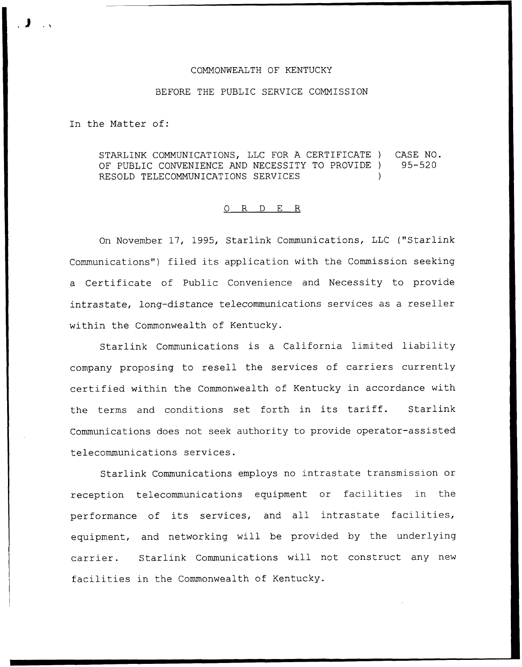## COMMONWEALTH OF KENTUCKY

## BEFORE THE PUBLIC SERVICE COMMISSION

In the Matter of:

STARLINK COMMUNICATIONS, LLC FOR A CERTIFICATE ) CASE NO.<br>OF PUBLIC CONVENIENCE AND NECESSITY TO PROVIDE ) 95-520 OF PUBLIC CONVENIENCE AND NECESSITY TO PROVIDE ) RESOLD TELECOMMUNICATIONS SERVICES

## 0 R <sup>D</sup> E R

On November 17, 1995, Starlink Communications, LLC ("Starlink Communications") filed its application with the Commission seeking a Certificate of Public Convenience and Necessity to provide intrastate, long-distance telecommunications services as <sup>a</sup> reseller within the Commonwealth of Kentucky.

Starlink Communications is <sup>a</sup> California limited liability company proposing to resell the services of carriers currently certified within the Commonwealth of Kentucky in accordance with the terms and conditions set forth in its tariff. Starlink Communications does not seek authority to provide operator-assisted telecommunications services.

Starlink Communications employs no intrastate transmission or reception telecommunications equipment or facilities in the performance of its services, and all intrastate facilities, equipment, and networking will be provided by the underlying carrier. Starlink Communications will not construct any new facilities in the Commonwealth of Kentucky.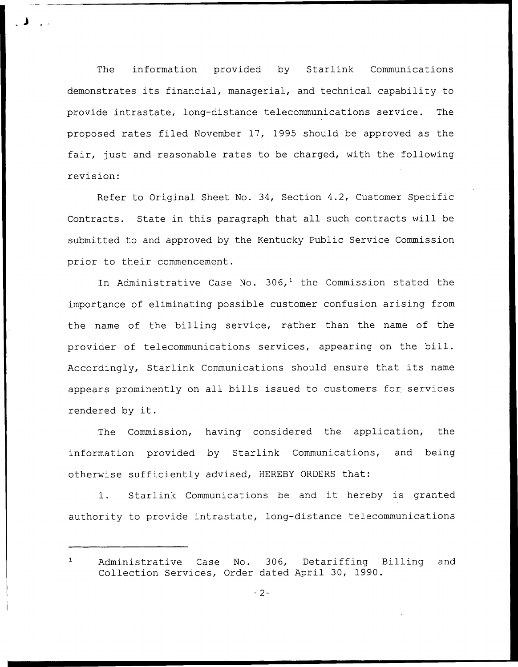The information provided by Starlink Communications demonstrates its financial, managerial, and technical capability to provide intrastate, long-distance telecommunications service. The proposed rates filed November 17, 1995 should be approved as the fair, just and reasonable rates to be charged, with the following revision:

Refer to Original Sheet No. 34, Section 4.2, Customer Specific Contracts. State in this paragraph that all such contracts will be submitted to and approved by the Kentucky Public Service Commission prior to their commencement.

In Administrative Case No.  $306<sub>1</sub><sup>1</sup>$  the Commission stated the importance of eliminating possible customer confusion arising from the name of the billing service, rather than the name of the provider of telecommunications services, appearing on the bill. Accordingly, Starlink Communications should ensure that its name appears prominently on all bills issued to customers for services rendered by it.

The Commission, having considered the application, the information provided by Starlink Communications, and being otherwise sufficiently advised, HEREBY ORDERS that:

1. Starlink Communications be and it hereby is granted authority to provide intrastate, long-distance telecommunications

 $\mathbf{1}$ Administrative Case No. 306, Detariffing Billing and Collection Services, Order dated April 30, 1990.